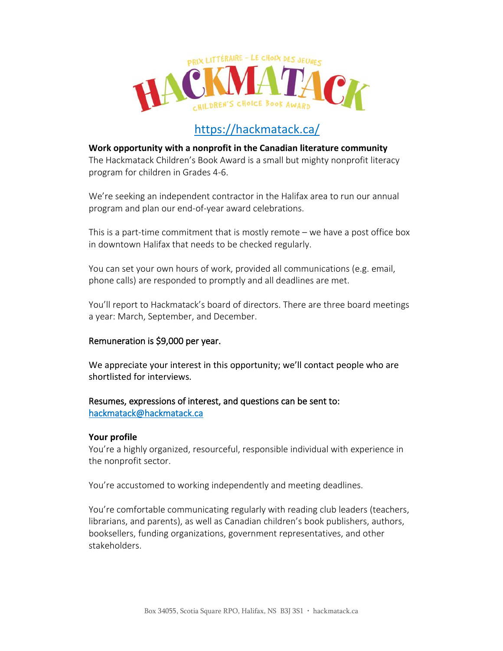

# <https://hackmatack.ca/>

# **Work opportunity with a nonprofit in the Canadian literature community**

The Hackmatack Children's Book Award is a small but mighty nonprofit literacy program for children in Grades 4-6.

We're seeking an independent contractor in the Halifax area to run our annual program and plan our end-of-year award celebrations.

This is a part-time commitment that is mostly remote – we have a post office box in downtown Halifax that needs to be checked regularly.

You can set your own hours of work, provided all communications (e.g. email, phone calls) are responded to promptly and all deadlines are met.

You'll report to Hackmatack's board of directors. There are three board meetings a year: March, September, and December.

## Remuneration is \$9,000 per year.

We appreciate your interest in this opportunity; we'll contact people who are shortlisted for interviews.

## Resumes, expressions of interest, and questions can be sent to: [hackmatack@hackmatack.ca](mailto:hackmatack@hackmatack.ca)

## **Your profile**

You're a highly organized, resourceful, responsible individual with experience in the nonprofit sector.

You're accustomed to working independently and meeting deadlines.

You're comfortable communicating regularly with reading club leaders (teachers, librarians, and parents), as well as Canadian children's book publishers, authors, booksellers, funding organizations, government representatives, and other stakeholders.